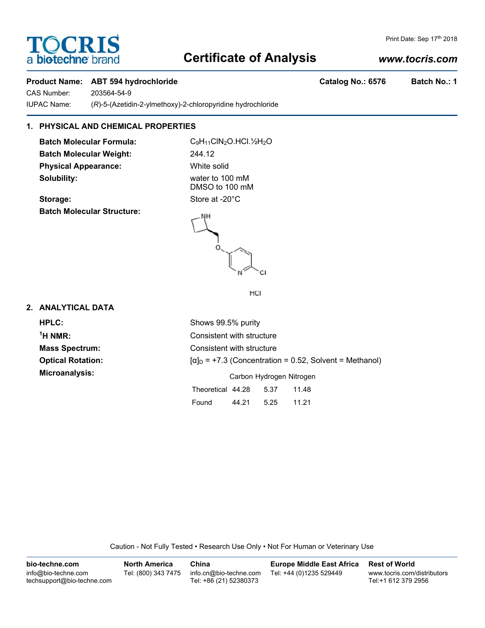## **Certificate of Analysis**

## **Product Name: ABT 594 hydrochloride Catalog No.: 6576 Batch No.: 1**

CAS Number: 203564-54-9 IUPAC Name: (*R*)-5-(Azetidin-2-ylmethoxy)-2-chloropyridine hydrochloride

## **1. PHYSICAL AND CHEMICAL PROPERTIES**

**Batch Molecular Formula:** C<sub>9</sub>H<sub>11</sub>ClN<sub>2</sub>O.HCl.1/<sub>2</sub>H<sub>2</sub>O **Batch Molecular Weight:** 244.12 **Physical Appearance:** White solid **Solubility:** water to 100 mM

**TOCRIS** 

a **biotechne** bi

Storage: Store at -20°C **Batch Molecular Structure:**



О.

HCI

Found 44.21 5.25 11.21

## **2. ANALYTICAL DATA**

**HPLC:** Shows 99.5% purity  $<sup>1</sup>H NMR$ :</sup> **Consistent with structure Mass Spectrum:** Consistent with structure **Optical Rotation:**  $\begin{bmatrix} \alpha \end{bmatrix}_D = +7.3$  (Concentration = 0.52, Solvent = Methanol) **Microanalysis:** Microanalysis: Exercise 2012 **Carbon Hydrogen Nitrogen** Theoretical 44.28 5.37 11.48

Caution - Not Fully Tested • Research Use Only • Not For Human or Veterinary Use

| bio-techne.com                                    | <b>North America</b> | China                                            | <b>Europe Middle East Africa</b> | <b>Rest of World</b>                               |
|---------------------------------------------------|----------------------|--------------------------------------------------|----------------------------------|----------------------------------------------------|
| info@bio-techne.com<br>techsupport@bio-techne.com | Tel: (800) 343 7475  | info.cn@bio-techne.com<br>Tel: +86 (21) 52380373 | Tel: +44 (0)1235 529449          | www.tocris.com/distributors<br>Tel:+1 612 379 2956 |

## *www.tocris.com*